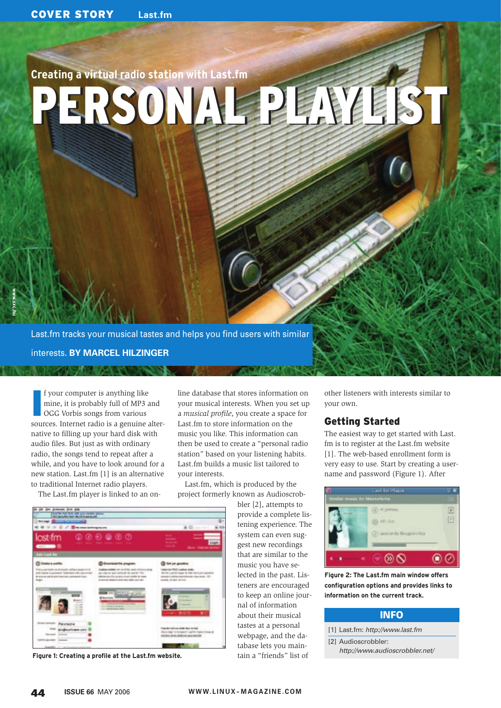# **Creating a virtual radio station with Last.fm**

PERSONAL PEAKIEST

Last.fm tracks your musical tastes and helps you find users with similar interests. **BY MARCEL HILZINGER**

I f your computer is anything like mine, it is probably full of MP3 and OGG Vorbis songs from various sources. Internet radio is a genuine alternative to filling up your hard disk with audio files. But just as with ordinary radio, the songs tend to repeat after a while, and you have to look around for a new station. Last.fm [1] is an alternative to traditional Internet radio players.

The Last.fm player is linked to an on-

line database that stores information on your musical interests. When you set up a *musical profile*, you create a space for Last.fm to store information on the music you like. This information can then be used to create a "personal radio station" based on your listening habits. Last.fm builds a music list tailored to your interests.

Last.fm, which is produced by the project formerly known as Audioscrob-

bler [2], attempts to provide a complete listening experience. The system can even suggest new recordings that are similar to the music you have selected in the past. Listeners are encouraged to keep an online journal of information about their musical tastes at a personal webpage, and the database lets you maintain a "friends" list of

other listeners with interests similar to your own.

## Getting Started

The easiest way to get started with Last. fm is to register at the Last.fm website [1]. The web-based enrollment form is very easy to use. Start by creating a username and password (Figure 1). After



**configuration options and provides links to information on the current track.**

## INFO

- [1] Last.fm: http://www.last.fm
- [2] Audioscrobbler:
	- http://www.audioscrobbler.net/



**Figure 1: Creating a profile at the Last.fm website.**